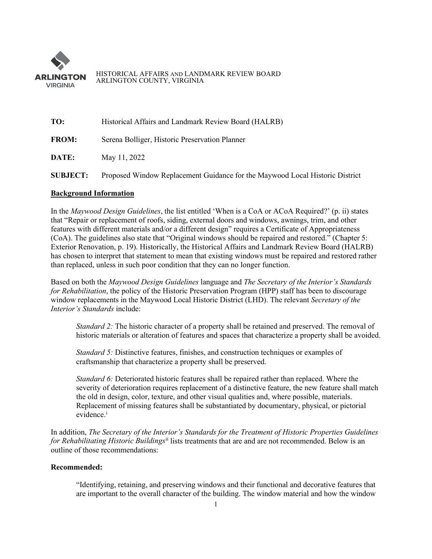

#### HISTORICAL AFFAIRS AND LANDMARK REVIEW BOARD ARLINGTON COUNTY, VIRGINIA

**TO:** Historical Affairs and Landmark Review Board (HALRB)

**FROM:** Serena Bolliger, Historic Preservation Planner

**DATE:** May 11, 2022

**SUBJECT:** Proposed Window Replacement Guidance for the Maywood Local Historic District

# **Background Information**

In the *Maywood Design Guidelines*, the list entitled 'When is a CoA or ACoA Required?' (p. ii) states that "Repair or replacement of roofs, siding, external doors and windows, awnings, trim, and other features with different materials and/or a different design" requires a Certificate of Appropriateness (CoA). The guidelines also state that "Original windows should be repaired and restored." (Chapter 5: Exterior Renovation, p. 19). Historically, the Historical Affairs and Landmark Review Board (HALRB) has chosen to interpret that statement to mean that existing windows must be repaired and restored rather than replaced, unless in such poor condition that they can no longer function.

Based on both the *Maywood Design Guidelines* language and *The Secretary of the Interior's Standards for Rehabilitation*, the policy of the Historic Preservation Program (HPP) staff has been to discourage window replacements in the Maywood Local Historic District (LHD). The relevant *Secretary of the Interior's Standards* include:

*Standard 2:* The historic character of a property shall be retained and preserved. The removal of historic materials or alteration of features and spaces that characterize a property shall be avoided.

*Standard 5:* Distinctive features, finishes, and construction techniques or examples of craftsmanship that characterize a property shall be preserved.

*Standard 6:* Deteriorated historic features shall be repaired rather than replaced. Where the severity of deterioration requires replacement of a distinctive feature, the new feature shall match the old in design, color, texture, and other visual qualities and, where possible, materials. Replacement of missing features shall be substantiated by documentary, physical, or pictorial ev[i](#page-3-0)dence.<sup>i</sup>

In addition, *The Secretary of the Interior's Standards for the Treatment of Historic Properties Guidelines for Rehabilitating Historic Buildings*[ii](#page-3-1) lists treatments that are and are not recommended. Below is an outline of those recommendations:

# **Recommended:**

"Identifying, retaining, and preserving windows and their functional and decorative features that are important to the overall character of the building. The window material and how the window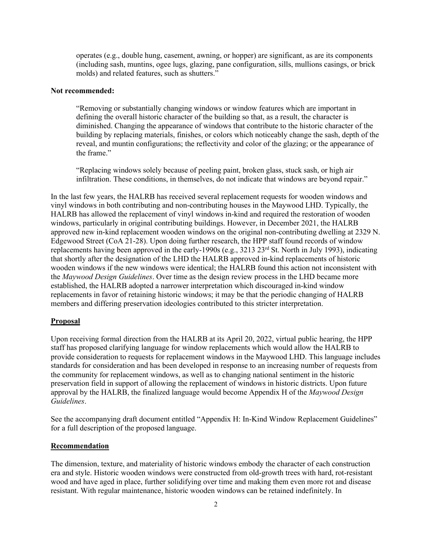operates (e.g., double hung, casement, awning, or hopper) are significant, as are its components (including sash, muntins, ogee lugs, glazing, pane configuration, sills, mullions casings, or brick molds) and related features, such as shutters."

# **Not recommended:**

"Removing or substantially changing windows or window features which are important in defining the overall historic character of the building so that, as a result, the character is diminished. Changing the appearance of windows that contribute to the historic character of the building by replacing materials, finishes, or colors which noticeably change the sash, depth of the reveal, and muntin configurations; the reflectivity and color of the glazing; or the appearance of the frame."

"Replacing windows solely because of peeling paint, broken glass, stuck sash, or high air infiltration. These conditions, in themselves, do not indicate that windows are beyond repair."

In the last few years, the HALRB has received several replacement requests for wooden windows and vinyl windows in both contributing and non-contributing houses in the Maywood LHD. Typically, the HALRB has allowed the replacement of vinyl windows in-kind and required the restoration of wooden windows, particularly in original contributing buildings. However, in December 2021, the HALRB approved new in-kind replacement wooden windows on the original non-contributing dwelling at 2329 N. Edgewood Street (CoA 21-28). Upon doing further research, the HPP staff found records of window replacements having been approved in the early-1990s (e.g., 3213 23rd St. North in July 1993), indicating that shortly after the designation of the LHD the HALRB approved in-kind replacements of historic wooden windows if the new windows were identical; the HALRB found this action not inconsistent with the *Maywood Design Guidelines*. Over time as the design review process in the LHD became more established, the HALRB adopted a narrower interpretation which discouraged in-kind window replacements in favor of retaining historic windows; it may be that the periodic changing of HALRB members and differing preservation ideologies contributed to this stricter interpretation.

### **Proposal**

Upon receiving formal direction from the HALRB at its April 20, 2022, virtual public hearing, the HPP staff has proposed clarifying language for window replacements which would allow the HALRB to provide consideration to requests for replacement windows in the Maywood LHD. This language includes standards for consideration and has been developed in response to an increasing number of requests from the community for replacement windows, as well as to changing national sentiment in the historic preservation field in support of allowing the replacement of windows in historic districts. Upon future approval by the HALRB, the finalized language would become Appendix H of the *Maywood Design Guidelines*.

See the accompanying draft document entitled "Appendix H: In-Kind Window Replacement Guidelines" for a full description of the proposed language.

## **Recommendation**

The dimension, texture, and materiality of historic windows embody the character of each construction era and style. Historic wooden windows were constructed from old-growth trees with hard, rot-resistant wood and have aged in place, further solidifying over time and making them even more rot and disease resistant. With regular maintenance, historic wooden windows can be retained indefinitely. In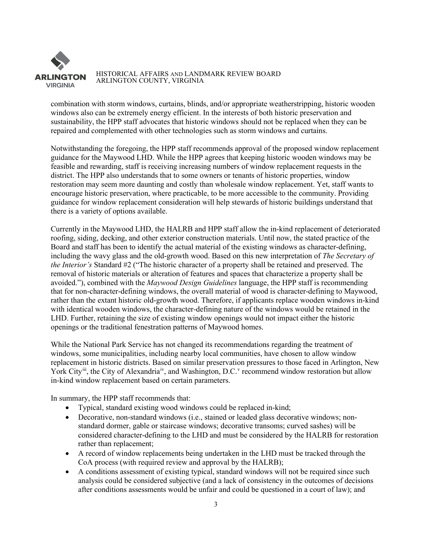

#### HISTORICAL AFFAIRS AND LANDMARK REVIEW BOARD ARLINGTON COUNTY, VIRGINIA

combination with storm windows, curtains, blinds, and/or appropriate weatherstripping, historic wooden windows also can be extremely energy efficient. In the interests of both historic preservation and sustainability, the HPP staff advocates that historic windows should not be replaced when they can be repaired and complemented with other technologies such as storm windows and curtains.

Notwithstanding the foregoing, the HPP staff recommends approval of the proposed window replacement guidance for the Maywood LHD. While the HPP agrees that keeping historic wooden windows may be feasible and rewarding, staff is receiving increasing numbers of window replacement requests in the district. The HPP also understands that to some owners or tenants of historic properties, window restoration may seem more daunting and costly than wholesale window replacement. Yet, staff wants to encourage historic preservation, where practicable, to be more accessible to the community. Providing guidance for window replacement consideration will help stewards of historic buildings understand that there is a variety of options available.

Currently in the Maywood LHD, the HALRB and HPP staff allow the in-kind replacement of deteriorated roofing, siding, decking, and other exterior construction materials. Until now, the stated practice of the Board and staff has been to identify the actual material of the existing windows as character-defining, including the wavy glass and the old-growth wood. Based on this new interpretation of *The Secretary of the Interior's* Standard #2 ("The historic character of a property shall be retained and preserved. The removal of historic materials or alteration of features and spaces that characterize a property shall be avoided."), combined with the *Maywood Design Guidelines* language, the HPP staff is recommending that for non-character-defining windows, the overall material of wood is character-defining to Maywood, rather than the extant historic old-growth wood. Therefore, if applicants replace wooden windows in-kind with identical wooden windows, the character-defining nature of the windows would be retained in the LHD. Further, retaining the size of existing window openings would not impact either the historic openings or the traditional fenestration patterns of Maywood homes.

While the National Park Service has not changed its recommendations regarding the treatment of windows, some municipalities, including nearby local communities, have chosen to allow window replacement in historic districts. Based on similar preservation pressures to those faced in Arlington, New York City<sup>iii</sup>, the City of Alexandria<sup>i[v](#page-3-4)</sup>, and Washington, D.C.<sup>v</sup> recommend window restoration but allow in-kind window replacement based on certain parameters.

In summary, the HPP staff recommends that:

- Typical, standard existing wood windows could be replaced in-kind;
- Decorative, non-standard windows (i.e., stained or leaded glass decorative windows; nonstandard dormer, gable or staircase windows; decorative transoms; curved sashes) will be considered character-defining to the LHD and must be considered by the HALRB for restoration rather than replacement;
- A record of window replacements being undertaken in the LHD must be tracked through the CoA process (with required review and approval by the HALRB);
- A conditions assessment of existing typical, standard windows will not be required since such analysis could be considered subjective (and a lack of consistency in the outcomes of decisions after conditions assessments would be unfair and could be questioned in a court of law); and